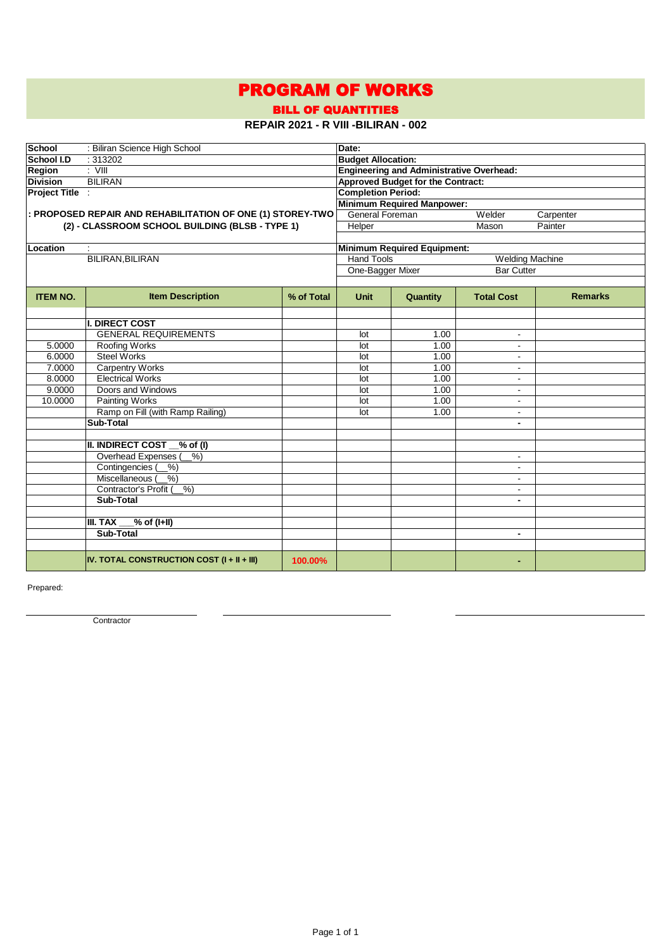## PROGRAM OF WORKS

BILL OF QUANTITIES

## **REPAIR 2021 - R VIII -BILIRAN - 002**

| School          | : Biliran Science High School                              | Date:      |                                               |                                                 |                          |                |  |  |  |
|-----------------|------------------------------------------------------------|------------|-----------------------------------------------|-------------------------------------------------|--------------------------|----------------|--|--|--|
| School I.D      | :313202                                                    |            |                                               | <b>Budget Allocation:</b>                       |                          |                |  |  |  |
| Region          | $\overline{\phantom{a}}$ : $\overline{\phantom{a}}$        |            |                                               | <b>Engineering and Administrative Overhead:</b> |                          |                |  |  |  |
| <b>Division</b> | <b>BILIRAN</b>                                             |            |                                               | <b>Approved Budget for the Contract:</b>        |                          |                |  |  |  |
| Project Title : |                                                            |            | <b>Completion Period:</b>                     |                                                 |                          |                |  |  |  |
|                 |                                                            |            | <b>Minimum Required Manpower:</b>             |                                                 |                          |                |  |  |  |
|                 | : PROPOSED REPAIR AND REHABILITATION OF ONE (1) STOREY-TWO |            | <b>General Foreman</b><br>Welder<br>Carpenter |                                                 |                          |                |  |  |  |
|                 | (2) - CLASSROOM SCHOOL BUILDING (BLSB - TYPE 1)            |            | Helper                                        | Painter                                         |                          |                |  |  |  |
|                 |                                                            |            |                                               |                                                 |                          |                |  |  |  |
| Location        |                                                            |            | <b>Minimum Required Equipment:</b>            |                                                 |                          |                |  |  |  |
|                 | BILIRAN, BILIRAN                                           |            | <b>Hand Tools</b>                             |                                                 | <b>Welding Machine</b>   |                |  |  |  |
|                 |                                                            |            | One-Bagger Mixer                              |                                                 | <b>Bar Cutter</b>        |                |  |  |  |
|                 |                                                            |            |                                               |                                                 |                          |                |  |  |  |
| <b>ITEM NO.</b> | <b>Item Description</b>                                    | % of Total | <b>Unit</b>                                   | Quantity                                        | <b>Total Cost</b>        | <b>Remarks</b> |  |  |  |
|                 |                                                            |            |                                               |                                                 |                          |                |  |  |  |
|                 | <b>I. DIRECT COST</b>                                      |            |                                               |                                                 |                          |                |  |  |  |
|                 | <b>GENERAL REQUIREMENTS</b>                                |            | lot                                           | 1.00                                            | $\blacksquare$           |                |  |  |  |
| 5.0000          | Roofing Works                                              |            | lot                                           | 1.00                                            | $\blacksquare$           |                |  |  |  |
| 6.0000          | <b>Steel Works</b>                                         |            | lot                                           | 1.00                                            | ä,                       |                |  |  |  |
| 7.0000          | <b>Carpentry Works</b>                                     |            | lot                                           | 1.00                                            | $\blacksquare$           |                |  |  |  |
| 8.0000          | <b>Electrical Works</b>                                    |            | lot                                           | 1.00                                            | $\blacksquare$           |                |  |  |  |
| 9.0000          | Doors and Windows                                          |            | lot                                           | 1.00                                            | $\blacksquare$           |                |  |  |  |
| 10.0000         | <b>Painting Works</b>                                      |            | lot                                           | 1.00                                            | $\blacksquare$           |                |  |  |  |
|                 | Ramp on Fill (with Ramp Railing)                           |            | lot                                           | 1.00                                            | $\blacksquare$           |                |  |  |  |
|                 | Sub-Total                                                  |            |                                               |                                                 | $\blacksquare$           |                |  |  |  |
|                 |                                                            |            |                                               |                                                 |                          |                |  |  |  |
|                 | <b>II. INDIRECT COST</b><br>$\mathcal{N}$ of (I)           |            |                                               |                                                 |                          |                |  |  |  |
|                 | Overhead Expenses (<br>$%$ )                               |            |                                               |                                                 | $\blacksquare$           |                |  |  |  |
|                 | Contingencies (<br>$%$ )                                   |            |                                               |                                                 | $\blacksquare$           |                |  |  |  |
|                 | Miscellaneous (<br>$%$ )                                   |            |                                               |                                                 | $\blacksquare$           |                |  |  |  |
|                 | Contractor's Profit (%)                                    |            |                                               |                                                 | $\blacksquare$           |                |  |  |  |
|                 | Sub-Total                                                  |            |                                               |                                                 | $\blacksquare$           |                |  |  |  |
|                 |                                                            |            |                                               |                                                 |                          |                |  |  |  |
|                 | III. TAX<br>% of (I+II)                                    |            |                                               |                                                 |                          |                |  |  |  |
|                 | Sub-Total                                                  |            |                                               |                                                 | $\overline{\phantom{0}}$ |                |  |  |  |
|                 |                                                            |            |                                               |                                                 |                          |                |  |  |  |
|                 | IV. TOTAL CONSTRUCTION COST (I + II + III)                 | 100.00%    |                                               |                                                 |                          |                |  |  |  |

Prepared:

**Contractor**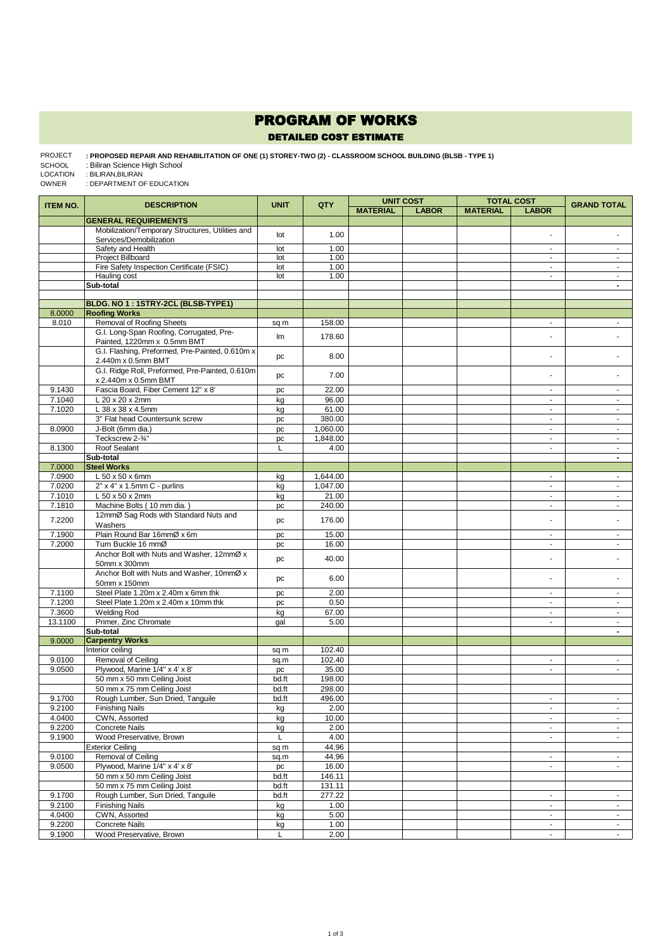## PROGRAM OF WORKS

## DETAILED COST ESTIMATE

: PROPOSED REPAIR AND REHABILITATION OF ONE (1) STOREY-TWO (2) - CLASSROOM SCHOOL BUILDING (BLSB - TYPE 1)<br>: Biliran Science High School PROJECT

SCHOOL

: BILIRAN,BILIRAN LOCATION

: DEPARTMENT OF EDUCATION OWNER

| <b>ITEM NO.</b> | <b>DESCRIPTION</b>                               | <b>UNIT</b> | QTY              | <b>UNIT COST</b><br><b>TOTAL COST</b> |              |                 | <b>GRAND TOTAL</b>       |                |
|-----------------|--------------------------------------------------|-------------|------------------|---------------------------------------|--------------|-----------------|--------------------------|----------------|
|                 |                                                  |             |                  | <b>MATERIAL</b>                       | <b>LABOR</b> | <b>MATERIAL</b> | <b>LABOR</b>             |                |
|                 | <b>GENERAL REQUIREMENTS</b>                      |             |                  |                                       |              |                 |                          |                |
|                 | Mobilization/Temporary Structures, Utilities and |             |                  |                                       |              |                 | ä,                       |                |
|                 | Services/Demobilization                          | lot         | 1.00             |                                       |              |                 |                          |                |
|                 | Safety and Health                                | lot         | 1.00             |                                       |              |                 | $\blacksquare$           | $\blacksquare$ |
|                 | <b>Project Billboard</b>                         | lot         | 1.00             |                                       |              |                 | $\sim$                   | $\omega$       |
|                 | Fire Safety Inspection Certificate (FSIC)        | lot         | 1.00             |                                       |              |                 | ä,                       | $\omega$       |
|                 | Hauling cost                                     | lot         | 1.00             |                                       |              |                 | ÷.                       | $\omega$       |
|                 | Sub-total                                        |             |                  |                                       |              |                 |                          | $\blacksquare$ |
|                 |                                                  |             |                  |                                       |              |                 |                          |                |
|                 | BLDG. NO 1: 1STRY-2CL (BLSB-TYPE1)               |             |                  |                                       |              |                 |                          |                |
| 8.0000          | <b>Roofing Works</b>                             |             |                  |                                       |              |                 |                          |                |
| 8.010           | Removal of Roofing Sheets                        | sq m        | 158.00           |                                       |              |                 | $\blacksquare$           | $\blacksquare$ |
|                 | G.I. Long-Span Roofing, Corrugated, Pre-         | lm          | 178.60           |                                       |              |                 | ÷                        |                |
|                 | Painted, 1220mm x 0.5mm BMT                      |             |                  |                                       |              |                 |                          |                |
|                 | G.I. Flashing, Preformed, Pre-Painted, 0.610m x  | pc          | 8.00             |                                       |              |                 | ä,                       |                |
|                 | 2.440m x 0.5mm BMT                               |             |                  |                                       |              |                 |                          |                |
|                 | G.I. Ridge Roll, Preformed, Pre-Painted, 0.610m  | pc          | 7.00             |                                       |              |                 | ÷                        |                |
|                 | x 2.440m x 0.5mm BMT                             |             |                  |                                       |              |                 |                          |                |
| 9.1430          | Fascia Board, Fiber Cement 12" x 8'              | pc          | 22.00            |                                       |              |                 | $\sim$                   | $\sim$         |
| 7.1040          | L 20 x 20 x 2mm                                  | kg          | 96.00            |                                       |              |                 | $\blacksquare$           | $\blacksquare$ |
| 7.1020          | L 38 x 38 x 4.5mm                                | kg          | 61.00            |                                       |              |                 | ä,                       | $\blacksquare$ |
|                 | 3" Flat head Countersunk screw                   | pc          | 380.00           |                                       |              |                 | $\blacksquare$           | $\blacksquare$ |
| 8.0900          | J-Bolt (6mm dia.)                                | pc          | 1,060.00         |                                       |              |                 | $\sim$                   | $\omega$       |
|                 | Teckscrew 2-3/4"                                 | pc          | 1,848.00         |                                       |              |                 | $\blacksquare$           | $\sim$         |
| 8.1300          | Roof Sealant                                     | L           | 4.00             |                                       |              |                 | $\tilde{\phantom{a}}$    | $\blacksquare$ |
|                 | Sub-total                                        |             |                  |                                       |              |                 |                          | $\blacksquare$ |
| 7.0000          | <b>Steel Works</b>                               |             |                  |                                       |              |                 |                          |                |
| 7.0900          | L 50 x 50 x 6mm                                  | kg          | 1,644.00         |                                       |              |                 | $\sim$                   | $\omega$       |
| 7.0200          | 2" x 4" x 1.5mm C - purlins                      | kg          | 1,047.00         |                                       |              |                 | $\blacksquare$           | $\omega$       |
| 7.1010          | L 50 x 50 x 2mm                                  | kg          | 21.00            |                                       |              |                 | $\sim$                   | $\sim$         |
| 7.1810          | Machine Bolts (10 mm dia.)                       | pc          | 240.00           |                                       |              |                 | $\blacksquare$           | $\blacksquare$ |
|                 | 12mmØ Sag Rods with Standard Nuts and            |             |                  |                                       |              |                 |                          |                |
| 7.2200          | Washers                                          | pc          | 176.00           |                                       |              |                 | ä,                       |                |
| 7.1900          | Plain Round Bar 16mmØ x 6m                       | pc          | 15.00            |                                       |              |                 |                          |                |
| 7.2000          | Turn Buckle 16 mmØ                               | pc          | 16.00            |                                       |              |                 | $\omega$                 | $\omega$       |
|                 | Anchor Bolt with Nuts and Washer, 12mmØ x        |             |                  |                                       |              |                 |                          |                |
|                 | 50mm x 300mm                                     | pc          | 40.00            |                                       |              |                 | Ĭ.                       |                |
|                 | Anchor Bolt with Nuts and Washer, 10mmØ x        |             |                  |                                       |              |                 |                          |                |
|                 | 50mm x 150mm                                     | pc          | 6.00             |                                       |              |                 | ä,                       |                |
| 7.1100          | Steel Plate 1.20m x 2.40m x 6mm thk              | pc          | 2.00             |                                       |              |                 | $\sim$                   | $\sim$         |
| 7.1200          | Steel Plate 1.20m x 2.40m x 10mm thk             |             | 0.50             |                                       |              |                 | $\blacksquare$           | $\blacksquare$ |
| 7.3600          | <b>Welding Rod</b>                               | pc          | 67.00            |                                       |              |                 | ä,                       | $\blacksquare$ |
| 13.1100         |                                                  | kg          |                  |                                       |              |                 | ä,                       | $\omega$       |
|                 | Primer, Zinc Chromate<br>Sub-total               | gal         | 5.00             |                                       |              |                 |                          | $\blacksquare$ |
| 9.0000          | <b>Carpentry Works</b>                           |             |                  |                                       |              |                 |                          |                |
|                 | Interior ceiling                                 |             |                  |                                       |              |                 |                          |                |
| 9.0100          | Removal of Ceiling                               | sq m        | 102.40<br>102.40 |                                       |              |                 |                          |                |
| 9.0500          | Plywood, Marine 1/4" x 4' x 8'                   | sq.m        | 35.00            |                                       |              |                 | $\omega$                 | $\mathbf{r}$   |
|                 | 50 mm x 50 mm Ceiling Joist                      | pc<br>bd.ft |                  |                                       |              |                 |                          |                |
|                 |                                                  |             | 198.00           |                                       |              |                 |                          |                |
|                 | 50 mm x 75 mm Ceiling Joist                      | bd.ft       | 298.00           |                                       |              |                 |                          |                |
| 9.1700          | Rough Lumber, Sun Dried, Tanguile                | bd.ft       | 496.00           |                                       |              |                 | $\blacksquare$           |                |
| 9.2100          | <b>Finishing Nails</b>                           | kg          | 2.00             |                                       |              |                 | $\blacksquare$           | $\blacksquare$ |
| 4.0400          | CWN, Assorted                                    | kg          | 10.00            |                                       |              |                 | $\blacksquare$           | $\blacksquare$ |
| 9.2200          | <b>Concrete Nails</b>                            | kg          | 2.00             |                                       |              |                 | $\blacksquare$           | $\sim$         |
| 9.1900          | Wood Preservative, Brown                         | L           | 4.00             |                                       |              |                 | $\blacksquare$           | $\blacksquare$ |
|                 | <b>Exterior Ceiling</b>                          | sq m        | 44.96            |                                       |              |                 |                          |                |
| 9.0100          | Removal of Ceiling                               | sq.m        | 44.96            |                                       |              |                 | $\blacksquare$           | $\omega$       |
| 9.0500          | Plywood, Marine 1/4" x 4' x 8'                   | pc          | 16.00            |                                       |              |                 | $\sim$                   | $\omega$       |
|                 | 50 mm x 50 mm Ceiling Joist                      | bd.ft       | 146.11           |                                       |              |                 |                          |                |
|                 | 50 mm x 75 mm Ceiling Joist                      | bd.ft       | 131.11           |                                       |              |                 |                          |                |
| 9.1700          | Rough Lumber, Sun Dried, Tanguile                | bd.ft       | 277.22           |                                       |              |                 | $\blacksquare$           | $\sim$         |
| 9.2100          | <b>Finishing Nails</b>                           | kg          | 1.00             |                                       |              |                 | $\overline{\phantom{a}}$ | $\blacksquare$ |
| 4.0400          | CWN, Assorted                                    | kg          | 5.00             |                                       |              |                 | $\blacksquare$           | $\omega$       |
| 9.2200          | Concrete Nails                                   | kg          | 1.00             |                                       |              |                 | $\omega$                 | $\omega$       |
| 9.1900          | Wood Preservative, Brown                         | L           | 2.00             |                                       |              |                 |                          | $\omega$       |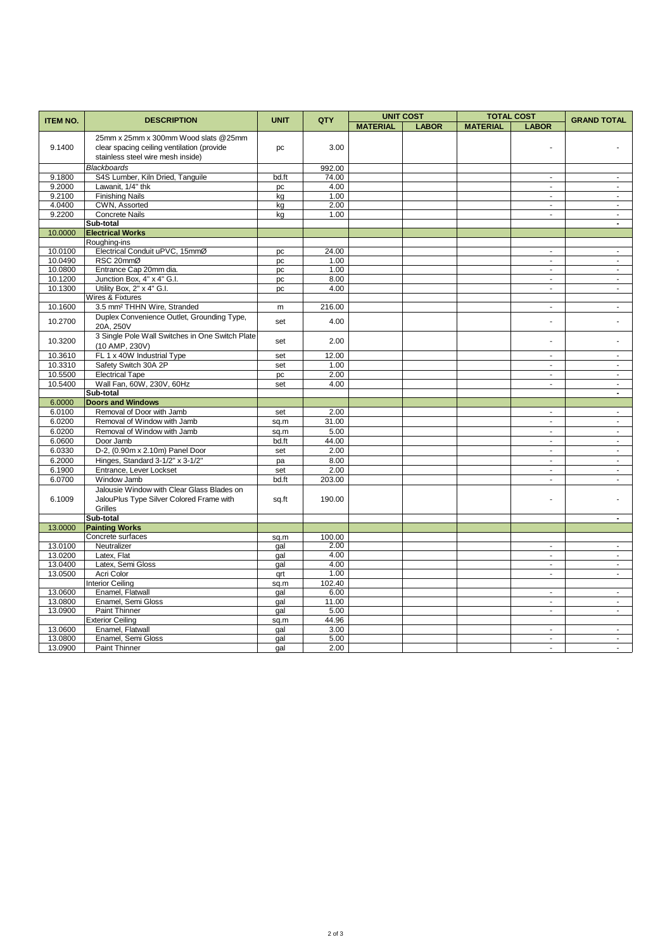| <b>ITEM NO.</b><br><b>UNIT</b><br>QTY<br><b>GRAND TOTAL</b><br><b>DESCRIPTION</b><br><b>MATERIAL</b><br><b>LABOR</b><br><b>MATERIAL</b><br><b>LABOR</b><br>25mm x 25mm x 300mm Wood slats @25mm<br>clear spacing ceiling ventilation (provide<br>3.00<br>9.1400<br>pc<br>stainless steel wire mesh inside)<br><b>Blackboards</b><br>992.00<br>9.1800<br>S4S Lumber, Kiln Dried, Tanguile<br>74.00<br>bd.ft<br>$\blacksquare$<br>$\blacksquare$<br>9.2000<br>Lawanit, 1/4" thk<br>4.00<br>pc<br>$\blacksquare$<br>$\blacksquare$<br><b>Finishing Nails</b><br>9.2100<br>1.00<br>L.<br>$\mathbf{r}$<br>kg<br>4.0400<br>CWN, Assorted<br>2.00<br>kg<br>$\blacksquare$<br>$\blacksquare$<br><b>Concrete Nails</b><br>9.2200<br>1.00<br>kg<br>ä,<br>$\omega$<br>Sub-total<br>$\blacksquare$<br><b>Electrical Works</b><br>10.0000<br>Roughing-ins<br>Electrical Conduit uPVC, 15mmØ<br>10.0100<br>24.00<br>pc<br>ä,<br>$\sim$<br>10.0490<br>RSC 20mmØ<br>1.00<br>$\omega$<br>$\omega$<br>pc<br>10.0800<br>Entrance Cap 20mm dia.<br>1.00<br>pc<br>$\blacksquare$<br>$\blacksquare$<br>Junction Box, 4" x 4" G.I.<br>10.1200<br>8.00<br>$\blacksquare$<br>pc<br>$\blacksquare$<br>10.1300<br>Utility Box, 2" x 4" G.I.<br>4.00<br>$\blacksquare$<br>pc<br>$\blacksquare$<br>Wires & Fixtures<br>3.5 mm <sup>2</sup> THHN Wire, Stranded<br>216.00<br>10.1600<br>$\omega$<br>m<br>$\sim$<br>Duplex Convenience Outlet, Grounding Type,<br>10.2700<br>4.00<br>set<br>ä,<br>20A. 250V<br>3 Single Pole Wall Switches in One Switch Plate<br>10.3200<br>2.00<br>set<br>ä,<br>(10 AMP, 230V)<br>10.3610<br>FL 1 x 40W Industrial Type<br>12.00<br>set<br>÷,<br>÷,<br>10.3310<br>Safety Switch 30A 2P<br>1.00<br>set<br>$\omega$<br>$\omega$<br>10.5500<br><b>Electrical Tape</b><br>2.00<br>pc<br>$\blacksquare$<br>$\blacksquare$<br>10.5400<br>Wall Fan, 60W, 230V, 60Hz<br>4.00<br>set<br>$\omega$<br>÷.<br>Sub-total<br>$\blacksquare$<br><b>Doors and Windows</b><br>6.0000<br>Removal of Door with Jamb<br>6.0100<br>2.00<br>set<br>$\blacksquare$<br>$\blacksquare$<br>6.0200<br>Removal of Window with Jamb<br>31.00<br>$\omega$<br>sq.m<br>$\sim$<br>6.0200<br>Removal of Window with Jamb<br>5.00<br>$\mathbf{r}$<br>sq.m<br>÷.<br>6.0600<br>Door Jamb<br>44.00<br>bd.ft<br>$\omega$<br>÷.<br>D-2, (0.90m x 2.10m) Panel Door<br>6.0330<br>2.00<br>set<br>$\sim$<br>$\sim$<br>6.2000<br>Hinges, Standard 3-1/2" x 3-1/2"<br>8.00<br>pa<br>$\omega$<br>ä,<br>6.1900<br>Entrance, Lever Lockset<br>2.00<br>set<br>$\sim$<br>$\sim$<br>6.0700<br>Window Jamb<br>bd.ft<br>203.00<br>$\blacksquare$<br>$\sim$<br>Jalousie Window with Clear Glass Blades on<br>6.1009<br>JalouPlus Type Silver Colored Frame with<br>190.00<br>sq.ft<br>ä,<br>Grilles<br>Sub-total<br>$\overline{a}$<br><b>Painting Works</b><br>13.0000<br>Concrete surfaces<br>100.00<br>sq.m<br>Neutralizer<br>2.00<br>13.0100<br>gal<br>$\sim$<br>$\sim$<br>13.0200<br>Latex, Flat<br>4.00<br>gal<br>$\blacksquare$<br>$\blacksquare$<br>4.00<br>13.0400<br>Latex, Semi Gloss<br>$\omega$<br>gal<br>$\sim$<br>1.00<br>13.0500<br>Acri Color<br>qrt<br>$\sim$<br>ä,<br><b>Interior Ceiling</b><br>102.40<br>sq.m<br>13.0600<br>Enamel, Flatwall<br>6.00<br>gal<br>$\sim$<br>$\blacksquare$<br>Enamel, Semi Gloss<br>13.0800<br>11.00<br>gal<br>٠<br>$\blacksquare$<br>13.0900<br>Paint Thinner<br>5.00<br>gal<br>ä,<br>$\blacksquare$<br><b>Exterior Ceiling</b><br>44.96<br>sq.m<br>13.0600<br>3.00<br>Enamel, Flatwall<br>gal<br>$\blacksquare$<br>$\sim$<br>Enamel, Semi Gloss<br>13.0800<br>5.00<br>gal<br>$\blacksquare$<br>$\blacksquare$<br>$\overline{\phantom{a}}$<br>$\sim$ |         |               |     |      | <b>UNIT COST</b> |  | <b>TOTAL COST</b> |  |  |
|----------------------------------------------------------------------------------------------------------------------------------------------------------------------------------------------------------------------------------------------------------------------------------------------------------------------------------------------------------------------------------------------------------------------------------------------------------------------------------------------------------------------------------------------------------------------------------------------------------------------------------------------------------------------------------------------------------------------------------------------------------------------------------------------------------------------------------------------------------------------------------------------------------------------------------------------------------------------------------------------------------------------------------------------------------------------------------------------------------------------------------------------------------------------------------------------------------------------------------------------------------------------------------------------------------------------------------------------------------------------------------------------------------------------------------------------------------------------------------------------------------------------------------------------------------------------------------------------------------------------------------------------------------------------------------------------------------------------------------------------------------------------------------------------------------------------------------------------------------------------------------------------------------------------------------------------------------------------------------------------------------------------------------------------------------------------------------------------------------------------------------------------------------------------------------------------------------------------------------------------------------------------------------------------------------------------------------------------------------------------------------------------------------------------------------------------------------------------------------------------------------------------------------------------------------------------------------------------------------------------------------------------------------------------------------------------------------------------------------------------------------------------------------------------------------------------------------------------------------------------------------------------------------------------------------------------------------------------------------------------------------------------------------------------------------------------------------------------------------------------------------------------------------------------------------------------------------------------------------------------------------------------------------------------------------------------------------------------------------------------------------------------------------------------------------------------------------------------------------------------------------------------------------------------------------------------------------------------------------------------------------------------------|---------|---------------|-----|------|------------------|--|-------------------|--|--|
|                                                                                                                                                                                                                                                                                                                                                                                                                                                                                                                                                                                                                                                                                                                                                                                                                                                                                                                                                                                                                                                                                                                                                                                                                                                                                                                                                                                                                                                                                                                                                                                                                                                                                                                                                                                                                                                                                                                                                                                                                                                                                                                                                                                                                                                                                                                                                                                                                                                                                                                                                                                                                                                                                                                                                                                                                                                                                                                                                                                                                                                                                                                                                                                                                                                                                                                                                                                                                                                                                                                                                                                                                                                    |         |               |     |      |                  |  |                   |  |  |
|                                                                                                                                                                                                                                                                                                                                                                                                                                                                                                                                                                                                                                                                                                                                                                                                                                                                                                                                                                                                                                                                                                                                                                                                                                                                                                                                                                                                                                                                                                                                                                                                                                                                                                                                                                                                                                                                                                                                                                                                                                                                                                                                                                                                                                                                                                                                                                                                                                                                                                                                                                                                                                                                                                                                                                                                                                                                                                                                                                                                                                                                                                                                                                                                                                                                                                                                                                                                                                                                                                                                                                                                                                                    |         |               |     |      |                  |  |                   |  |  |
|                                                                                                                                                                                                                                                                                                                                                                                                                                                                                                                                                                                                                                                                                                                                                                                                                                                                                                                                                                                                                                                                                                                                                                                                                                                                                                                                                                                                                                                                                                                                                                                                                                                                                                                                                                                                                                                                                                                                                                                                                                                                                                                                                                                                                                                                                                                                                                                                                                                                                                                                                                                                                                                                                                                                                                                                                                                                                                                                                                                                                                                                                                                                                                                                                                                                                                                                                                                                                                                                                                                                                                                                                                                    |         |               |     |      |                  |  |                   |  |  |
|                                                                                                                                                                                                                                                                                                                                                                                                                                                                                                                                                                                                                                                                                                                                                                                                                                                                                                                                                                                                                                                                                                                                                                                                                                                                                                                                                                                                                                                                                                                                                                                                                                                                                                                                                                                                                                                                                                                                                                                                                                                                                                                                                                                                                                                                                                                                                                                                                                                                                                                                                                                                                                                                                                                                                                                                                                                                                                                                                                                                                                                                                                                                                                                                                                                                                                                                                                                                                                                                                                                                                                                                                                                    |         |               |     |      |                  |  |                   |  |  |
|                                                                                                                                                                                                                                                                                                                                                                                                                                                                                                                                                                                                                                                                                                                                                                                                                                                                                                                                                                                                                                                                                                                                                                                                                                                                                                                                                                                                                                                                                                                                                                                                                                                                                                                                                                                                                                                                                                                                                                                                                                                                                                                                                                                                                                                                                                                                                                                                                                                                                                                                                                                                                                                                                                                                                                                                                                                                                                                                                                                                                                                                                                                                                                                                                                                                                                                                                                                                                                                                                                                                                                                                                                                    |         |               |     |      |                  |  |                   |  |  |
|                                                                                                                                                                                                                                                                                                                                                                                                                                                                                                                                                                                                                                                                                                                                                                                                                                                                                                                                                                                                                                                                                                                                                                                                                                                                                                                                                                                                                                                                                                                                                                                                                                                                                                                                                                                                                                                                                                                                                                                                                                                                                                                                                                                                                                                                                                                                                                                                                                                                                                                                                                                                                                                                                                                                                                                                                                                                                                                                                                                                                                                                                                                                                                                                                                                                                                                                                                                                                                                                                                                                                                                                                                                    |         |               |     |      |                  |  |                   |  |  |
|                                                                                                                                                                                                                                                                                                                                                                                                                                                                                                                                                                                                                                                                                                                                                                                                                                                                                                                                                                                                                                                                                                                                                                                                                                                                                                                                                                                                                                                                                                                                                                                                                                                                                                                                                                                                                                                                                                                                                                                                                                                                                                                                                                                                                                                                                                                                                                                                                                                                                                                                                                                                                                                                                                                                                                                                                                                                                                                                                                                                                                                                                                                                                                                                                                                                                                                                                                                                                                                                                                                                                                                                                                                    |         |               |     |      |                  |  |                   |  |  |
|                                                                                                                                                                                                                                                                                                                                                                                                                                                                                                                                                                                                                                                                                                                                                                                                                                                                                                                                                                                                                                                                                                                                                                                                                                                                                                                                                                                                                                                                                                                                                                                                                                                                                                                                                                                                                                                                                                                                                                                                                                                                                                                                                                                                                                                                                                                                                                                                                                                                                                                                                                                                                                                                                                                                                                                                                                                                                                                                                                                                                                                                                                                                                                                                                                                                                                                                                                                                                                                                                                                                                                                                                                                    |         |               |     |      |                  |  |                   |  |  |
|                                                                                                                                                                                                                                                                                                                                                                                                                                                                                                                                                                                                                                                                                                                                                                                                                                                                                                                                                                                                                                                                                                                                                                                                                                                                                                                                                                                                                                                                                                                                                                                                                                                                                                                                                                                                                                                                                                                                                                                                                                                                                                                                                                                                                                                                                                                                                                                                                                                                                                                                                                                                                                                                                                                                                                                                                                                                                                                                                                                                                                                                                                                                                                                                                                                                                                                                                                                                                                                                                                                                                                                                                                                    |         |               |     |      |                  |  |                   |  |  |
|                                                                                                                                                                                                                                                                                                                                                                                                                                                                                                                                                                                                                                                                                                                                                                                                                                                                                                                                                                                                                                                                                                                                                                                                                                                                                                                                                                                                                                                                                                                                                                                                                                                                                                                                                                                                                                                                                                                                                                                                                                                                                                                                                                                                                                                                                                                                                                                                                                                                                                                                                                                                                                                                                                                                                                                                                                                                                                                                                                                                                                                                                                                                                                                                                                                                                                                                                                                                                                                                                                                                                                                                                                                    |         |               |     |      |                  |  |                   |  |  |
|                                                                                                                                                                                                                                                                                                                                                                                                                                                                                                                                                                                                                                                                                                                                                                                                                                                                                                                                                                                                                                                                                                                                                                                                                                                                                                                                                                                                                                                                                                                                                                                                                                                                                                                                                                                                                                                                                                                                                                                                                                                                                                                                                                                                                                                                                                                                                                                                                                                                                                                                                                                                                                                                                                                                                                                                                                                                                                                                                                                                                                                                                                                                                                                                                                                                                                                                                                                                                                                                                                                                                                                                                                                    |         |               |     |      |                  |  |                   |  |  |
|                                                                                                                                                                                                                                                                                                                                                                                                                                                                                                                                                                                                                                                                                                                                                                                                                                                                                                                                                                                                                                                                                                                                                                                                                                                                                                                                                                                                                                                                                                                                                                                                                                                                                                                                                                                                                                                                                                                                                                                                                                                                                                                                                                                                                                                                                                                                                                                                                                                                                                                                                                                                                                                                                                                                                                                                                                                                                                                                                                                                                                                                                                                                                                                                                                                                                                                                                                                                                                                                                                                                                                                                                                                    |         |               |     |      |                  |  |                   |  |  |
|                                                                                                                                                                                                                                                                                                                                                                                                                                                                                                                                                                                                                                                                                                                                                                                                                                                                                                                                                                                                                                                                                                                                                                                                                                                                                                                                                                                                                                                                                                                                                                                                                                                                                                                                                                                                                                                                                                                                                                                                                                                                                                                                                                                                                                                                                                                                                                                                                                                                                                                                                                                                                                                                                                                                                                                                                                                                                                                                                                                                                                                                                                                                                                                                                                                                                                                                                                                                                                                                                                                                                                                                                                                    |         |               |     |      |                  |  |                   |  |  |
|                                                                                                                                                                                                                                                                                                                                                                                                                                                                                                                                                                                                                                                                                                                                                                                                                                                                                                                                                                                                                                                                                                                                                                                                                                                                                                                                                                                                                                                                                                                                                                                                                                                                                                                                                                                                                                                                                                                                                                                                                                                                                                                                                                                                                                                                                                                                                                                                                                                                                                                                                                                                                                                                                                                                                                                                                                                                                                                                                                                                                                                                                                                                                                                                                                                                                                                                                                                                                                                                                                                                                                                                                                                    |         |               |     |      |                  |  |                   |  |  |
|                                                                                                                                                                                                                                                                                                                                                                                                                                                                                                                                                                                                                                                                                                                                                                                                                                                                                                                                                                                                                                                                                                                                                                                                                                                                                                                                                                                                                                                                                                                                                                                                                                                                                                                                                                                                                                                                                                                                                                                                                                                                                                                                                                                                                                                                                                                                                                                                                                                                                                                                                                                                                                                                                                                                                                                                                                                                                                                                                                                                                                                                                                                                                                                                                                                                                                                                                                                                                                                                                                                                                                                                                                                    |         |               |     |      |                  |  |                   |  |  |
|                                                                                                                                                                                                                                                                                                                                                                                                                                                                                                                                                                                                                                                                                                                                                                                                                                                                                                                                                                                                                                                                                                                                                                                                                                                                                                                                                                                                                                                                                                                                                                                                                                                                                                                                                                                                                                                                                                                                                                                                                                                                                                                                                                                                                                                                                                                                                                                                                                                                                                                                                                                                                                                                                                                                                                                                                                                                                                                                                                                                                                                                                                                                                                                                                                                                                                                                                                                                                                                                                                                                                                                                                                                    |         |               |     |      |                  |  |                   |  |  |
|                                                                                                                                                                                                                                                                                                                                                                                                                                                                                                                                                                                                                                                                                                                                                                                                                                                                                                                                                                                                                                                                                                                                                                                                                                                                                                                                                                                                                                                                                                                                                                                                                                                                                                                                                                                                                                                                                                                                                                                                                                                                                                                                                                                                                                                                                                                                                                                                                                                                                                                                                                                                                                                                                                                                                                                                                                                                                                                                                                                                                                                                                                                                                                                                                                                                                                                                                                                                                                                                                                                                                                                                                                                    |         |               |     |      |                  |  |                   |  |  |
|                                                                                                                                                                                                                                                                                                                                                                                                                                                                                                                                                                                                                                                                                                                                                                                                                                                                                                                                                                                                                                                                                                                                                                                                                                                                                                                                                                                                                                                                                                                                                                                                                                                                                                                                                                                                                                                                                                                                                                                                                                                                                                                                                                                                                                                                                                                                                                                                                                                                                                                                                                                                                                                                                                                                                                                                                                                                                                                                                                                                                                                                                                                                                                                                                                                                                                                                                                                                                                                                                                                                                                                                                                                    |         |               |     |      |                  |  |                   |  |  |
|                                                                                                                                                                                                                                                                                                                                                                                                                                                                                                                                                                                                                                                                                                                                                                                                                                                                                                                                                                                                                                                                                                                                                                                                                                                                                                                                                                                                                                                                                                                                                                                                                                                                                                                                                                                                                                                                                                                                                                                                                                                                                                                                                                                                                                                                                                                                                                                                                                                                                                                                                                                                                                                                                                                                                                                                                                                                                                                                                                                                                                                                                                                                                                                                                                                                                                                                                                                                                                                                                                                                                                                                                                                    |         |               |     |      |                  |  |                   |  |  |
|                                                                                                                                                                                                                                                                                                                                                                                                                                                                                                                                                                                                                                                                                                                                                                                                                                                                                                                                                                                                                                                                                                                                                                                                                                                                                                                                                                                                                                                                                                                                                                                                                                                                                                                                                                                                                                                                                                                                                                                                                                                                                                                                                                                                                                                                                                                                                                                                                                                                                                                                                                                                                                                                                                                                                                                                                                                                                                                                                                                                                                                                                                                                                                                                                                                                                                                                                                                                                                                                                                                                                                                                                                                    |         |               |     |      |                  |  |                   |  |  |
|                                                                                                                                                                                                                                                                                                                                                                                                                                                                                                                                                                                                                                                                                                                                                                                                                                                                                                                                                                                                                                                                                                                                                                                                                                                                                                                                                                                                                                                                                                                                                                                                                                                                                                                                                                                                                                                                                                                                                                                                                                                                                                                                                                                                                                                                                                                                                                                                                                                                                                                                                                                                                                                                                                                                                                                                                                                                                                                                                                                                                                                                                                                                                                                                                                                                                                                                                                                                                                                                                                                                                                                                                                                    |         |               |     |      |                  |  |                   |  |  |
|                                                                                                                                                                                                                                                                                                                                                                                                                                                                                                                                                                                                                                                                                                                                                                                                                                                                                                                                                                                                                                                                                                                                                                                                                                                                                                                                                                                                                                                                                                                                                                                                                                                                                                                                                                                                                                                                                                                                                                                                                                                                                                                                                                                                                                                                                                                                                                                                                                                                                                                                                                                                                                                                                                                                                                                                                                                                                                                                                                                                                                                                                                                                                                                                                                                                                                                                                                                                                                                                                                                                                                                                                                                    |         |               |     |      |                  |  |                   |  |  |
|                                                                                                                                                                                                                                                                                                                                                                                                                                                                                                                                                                                                                                                                                                                                                                                                                                                                                                                                                                                                                                                                                                                                                                                                                                                                                                                                                                                                                                                                                                                                                                                                                                                                                                                                                                                                                                                                                                                                                                                                                                                                                                                                                                                                                                                                                                                                                                                                                                                                                                                                                                                                                                                                                                                                                                                                                                                                                                                                                                                                                                                                                                                                                                                                                                                                                                                                                                                                                                                                                                                                                                                                                                                    |         |               |     |      |                  |  |                   |  |  |
|                                                                                                                                                                                                                                                                                                                                                                                                                                                                                                                                                                                                                                                                                                                                                                                                                                                                                                                                                                                                                                                                                                                                                                                                                                                                                                                                                                                                                                                                                                                                                                                                                                                                                                                                                                                                                                                                                                                                                                                                                                                                                                                                                                                                                                                                                                                                                                                                                                                                                                                                                                                                                                                                                                                                                                                                                                                                                                                                                                                                                                                                                                                                                                                                                                                                                                                                                                                                                                                                                                                                                                                                                                                    |         |               |     |      |                  |  |                   |  |  |
|                                                                                                                                                                                                                                                                                                                                                                                                                                                                                                                                                                                                                                                                                                                                                                                                                                                                                                                                                                                                                                                                                                                                                                                                                                                                                                                                                                                                                                                                                                                                                                                                                                                                                                                                                                                                                                                                                                                                                                                                                                                                                                                                                                                                                                                                                                                                                                                                                                                                                                                                                                                                                                                                                                                                                                                                                                                                                                                                                                                                                                                                                                                                                                                                                                                                                                                                                                                                                                                                                                                                                                                                                                                    |         |               |     |      |                  |  |                   |  |  |
|                                                                                                                                                                                                                                                                                                                                                                                                                                                                                                                                                                                                                                                                                                                                                                                                                                                                                                                                                                                                                                                                                                                                                                                                                                                                                                                                                                                                                                                                                                                                                                                                                                                                                                                                                                                                                                                                                                                                                                                                                                                                                                                                                                                                                                                                                                                                                                                                                                                                                                                                                                                                                                                                                                                                                                                                                                                                                                                                                                                                                                                                                                                                                                                                                                                                                                                                                                                                                                                                                                                                                                                                                                                    |         |               |     |      |                  |  |                   |  |  |
|                                                                                                                                                                                                                                                                                                                                                                                                                                                                                                                                                                                                                                                                                                                                                                                                                                                                                                                                                                                                                                                                                                                                                                                                                                                                                                                                                                                                                                                                                                                                                                                                                                                                                                                                                                                                                                                                                                                                                                                                                                                                                                                                                                                                                                                                                                                                                                                                                                                                                                                                                                                                                                                                                                                                                                                                                                                                                                                                                                                                                                                                                                                                                                                                                                                                                                                                                                                                                                                                                                                                                                                                                                                    |         |               |     |      |                  |  |                   |  |  |
|                                                                                                                                                                                                                                                                                                                                                                                                                                                                                                                                                                                                                                                                                                                                                                                                                                                                                                                                                                                                                                                                                                                                                                                                                                                                                                                                                                                                                                                                                                                                                                                                                                                                                                                                                                                                                                                                                                                                                                                                                                                                                                                                                                                                                                                                                                                                                                                                                                                                                                                                                                                                                                                                                                                                                                                                                                                                                                                                                                                                                                                                                                                                                                                                                                                                                                                                                                                                                                                                                                                                                                                                                                                    |         |               |     |      |                  |  |                   |  |  |
|                                                                                                                                                                                                                                                                                                                                                                                                                                                                                                                                                                                                                                                                                                                                                                                                                                                                                                                                                                                                                                                                                                                                                                                                                                                                                                                                                                                                                                                                                                                                                                                                                                                                                                                                                                                                                                                                                                                                                                                                                                                                                                                                                                                                                                                                                                                                                                                                                                                                                                                                                                                                                                                                                                                                                                                                                                                                                                                                                                                                                                                                                                                                                                                                                                                                                                                                                                                                                                                                                                                                                                                                                                                    |         |               |     |      |                  |  |                   |  |  |
|                                                                                                                                                                                                                                                                                                                                                                                                                                                                                                                                                                                                                                                                                                                                                                                                                                                                                                                                                                                                                                                                                                                                                                                                                                                                                                                                                                                                                                                                                                                                                                                                                                                                                                                                                                                                                                                                                                                                                                                                                                                                                                                                                                                                                                                                                                                                                                                                                                                                                                                                                                                                                                                                                                                                                                                                                                                                                                                                                                                                                                                                                                                                                                                                                                                                                                                                                                                                                                                                                                                                                                                                                                                    |         |               |     |      |                  |  |                   |  |  |
|                                                                                                                                                                                                                                                                                                                                                                                                                                                                                                                                                                                                                                                                                                                                                                                                                                                                                                                                                                                                                                                                                                                                                                                                                                                                                                                                                                                                                                                                                                                                                                                                                                                                                                                                                                                                                                                                                                                                                                                                                                                                                                                                                                                                                                                                                                                                                                                                                                                                                                                                                                                                                                                                                                                                                                                                                                                                                                                                                                                                                                                                                                                                                                                                                                                                                                                                                                                                                                                                                                                                                                                                                                                    |         |               |     |      |                  |  |                   |  |  |
|                                                                                                                                                                                                                                                                                                                                                                                                                                                                                                                                                                                                                                                                                                                                                                                                                                                                                                                                                                                                                                                                                                                                                                                                                                                                                                                                                                                                                                                                                                                                                                                                                                                                                                                                                                                                                                                                                                                                                                                                                                                                                                                                                                                                                                                                                                                                                                                                                                                                                                                                                                                                                                                                                                                                                                                                                                                                                                                                                                                                                                                                                                                                                                                                                                                                                                                                                                                                                                                                                                                                                                                                                                                    |         |               |     |      |                  |  |                   |  |  |
|                                                                                                                                                                                                                                                                                                                                                                                                                                                                                                                                                                                                                                                                                                                                                                                                                                                                                                                                                                                                                                                                                                                                                                                                                                                                                                                                                                                                                                                                                                                                                                                                                                                                                                                                                                                                                                                                                                                                                                                                                                                                                                                                                                                                                                                                                                                                                                                                                                                                                                                                                                                                                                                                                                                                                                                                                                                                                                                                                                                                                                                                                                                                                                                                                                                                                                                                                                                                                                                                                                                                                                                                                                                    |         |               |     |      |                  |  |                   |  |  |
|                                                                                                                                                                                                                                                                                                                                                                                                                                                                                                                                                                                                                                                                                                                                                                                                                                                                                                                                                                                                                                                                                                                                                                                                                                                                                                                                                                                                                                                                                                                                                                                                                                                                                                                                                                                                                                                                                                                                                                                                                                                                                                                                                                                                                                                                                                                                                                                                                                                                                                                                                                                                                                                                                                                                                                                                                                                                                                                                                                                                                                                                                                                                                                                                                                                                                                                                                                                                                                                                                                                                                                                                                                                    |         |               |     |      |                  |  |                   |  |  |
|                                                                                                                                                                                                                                                                                                                                                                                                                                                                                                                                                                                                                                                                                                                                                                                                                                                                                                                                                                                                                                                                                                                                                                                                                                                                                                                                                                                                                                                                                                                                                                                                                                                                                                                                                                                                                                                                                                                                                                                                                                                                                                                                                                                                                                                                                                                                                                                                                                                                                                                                                                                                                                                                                                                                                                                                                                                                                                                                                                                                                                                                                                                                                                                                                                                                                                                                                                                                                                                                                                                                                                                                                                                    |         |               |     |      |                  |  |                   |  |  |
|                                                                                                                                                                                                                                                                                                                                                                                                                                                                                                                                                                                                                                                                                                                                                                                                                                                                                                                                                                                                                                                                                                                                                                                                                                                                                                                                                                                                                                                                                                                                                                                                                                                                                                                                                                                                                                                                                                                                                                                                                                                                                                                                                                                                                                                                                                                                                                                                                                                                                                                                                                                                                                                                                                                                                                                                                                                                                                                                                                                                                                                                                                                                                                                                                                                                                                                                                                                                                                                                                                                                                                                                                                                    |         |               |     |      |                  |  |                   |  |  |
|                                                                                                                                                                                                                                                                                                                                                                                                                                                                                                                                                                                                                                                                                                                                                                                                                                                                                                                                                                                                                                                                                                                                                                                                                                                                                                                                                                                                                                                                                                                                                                                                                                                                                                                                                                                                                                                                                                                                                                                                                                                                                                                                                                                                                                                                                                                                                                                                                                                                                                                                                                                                                                                                                                                                                                                                                                                                                                                                                                                                                                                                                                                                                                                                                                                                                                                                                                                                                                                                                                                                                                                                                                                    |         |               |     |      |                  |  |                   |  |  |
|                                                                                                                                                                                                                                                                                                                                                                                                                                                                                                                                                                                                                                                                                                                                                                                                                                                                                                                                                                                                                                                                                                                                                                                                                                                                                                                                                                                                                                                                                                                                                                                                                                                                                                                                                                                                                                                                                                                                                                                                                                                                                                                                                                                                                                                                                                                                                                                                                                                                                                                                                                                                                                                                                                                                                                                                                                                                                                                                                                                                                                                                                                                                                                                                                                                                                                                                                                                                                                                                                                                                                                                                                                                    |         |               |     |      |                  |  |                   |  |  |
|                                                                                                                                                                                                                                                                                                                                                                                                                                                                                                                                                                                                                                                                                                                                                                                                                                                                                                                                                                                                                                                                                                                                                                                                                                                                                                                                                                                                                                                                                                                                                                                                                                                                                                                                                                                                                                                                                                                                                                                                                                                                                                                                                                                                                                                                                                                                                                                                                                                                                                                                                                                                                                                                                                                                                                                                                                                                                                                                                                                                                                                                                                                                                                                                                                                                                                                                                                                                                                                                                                                                                                                                                                                    |         |               |     |      |                  |  |                   |  |  |
|                                                                                                                                                                                                                                                                                                                                                                                                                                                                                                                                                                                                                                                                                                                                                                                                                                                                                                                                                                                                                                                                                                                                                                                                                                                                                                                                                                                                                                                                                                                                                                                                                                                                                                                                                                                                                                                                                                                                                                                                                                                                                                                                                                                                                                                                                                                                                                                                                                                                                                                                                                                                                                                                                                                                                                                                                                                                                                                                                                                                                                                                                                                                                                                                                                                                                                                                                                                                                                                                                                                                                                                                                                                    |         |               |     |      |                  |  |                   |  |  |
|                                                                                                                                                                                                                                                                                                                                                                                                                                                                                                                                                                                                                                                                                                                                                                                                                                                                                                                                                                                                                                                                                                                                                                                                                                                                                                                                                                                                                                                                                                                                                                                                                                                                                                                                                                                                                                                                                                                                                                                                                                                                                                                                                                                                                                                                                                                                                                                                                                                                                                                                                                                                                                                                                                                                                                                                                                                                                                                                                                                                                                                                                                                                                                                                                                                                                                                                                                                                                                                                                                                                                                                                                                                    |         |               |     |      |                  |  |                   |  |  |
|                                                                                                                                                                                                                                                                                                                                                                                                                                                                                                                                                                                                                                                                                                                                                                                                                                                                                                                                                                                                                                                                                                                                                                                                                                                                                                                                                                                                                                                                                                                                                                                                                                                                                                                                                                                                                                                                                                                                                                                                                                                                                                                                                                                                                                                                                                                                                                                                                                                                                                                                                                                                                                                                                                                                                                                                                                                                                                                                                                                                                                                                                                                                                                                                                                                                                                                                                                                                                                                                                                                                                                                                                                                    |         |               |     |      |                  |  |                   |  |  |
|                                                                                                                                                                                                                                                                                                                                                                                                                                                                                                                                                                                                                                                                                                                                                                                                                                                                                                                                                                                                                                                                                                                                                                                                                                                                                                                                                                                                                                                                                                                                                                                                                                                                                                                                                                                                                                                                                                                                                                                                                                                                                                                                                                                                                                                                                                                                                                                                                                                                                                                                                                                                                                                                                                                                                                                                                                                                                                                                                                                                                                                                                                                                                                                                                                                                                                                                                                                                                                                                                                                                                                                                                                                    |         |               |     |      |                  |  |                   |  |  |
|                                                                                                                                                                                                                                                                                                                                                                                                                                                                                                                                                                                                                                                                                                                                                                                                                                                                                                                                                                                                                                                                                                                                                                                                                                                                                                                                                                                                                                                                                                                                                                                                                                                                                                                                                                                                                                                                                                                                                                                                                                                                                                                                                                                                                                                                                                                                                                                                                                                                                                                                                                                                                                                                                                                                                                                                                                                                                                                                                                                                                                                                                                                                                                                                                                                                                                                                                                                                                                                                                                                                                                                                                                                    |         |               |     |      |                  |  |                   |  |  |
|                                                                                                                                                                                                                                                                                                                                                                                                                                                                                                                                                                                                                                                                                                                                                                                                                                                                                                                                                                                                                                                                                                                                                                                                                                                                                                                                                                                                                                                                                                                                                                                                                                                                                                                                                                                                                                                                                                                                                                                                                                                                                                                                                                                                                                                                                                                                                                                                                                                                                                                                                                                                                                                                                                                                                                                                                                                                                                                                                                                                                                                                                                                                                                                                                                                                                                                                                                                                                                                                                                                                                                                                                                                    |         |               |     |      |                  |  |                   |  |  |
|                                                                                                                                                                                                                                                                                                                                                                                                                                                                                                                                                                                                                                                                                                                                                                                                                                                                                                                                                                                                                                                                                                                                                                                                                                                                                                                                                                                                                                                                                                                                                                                                                                                                                                                                                                                                                                                                                                                                                                                                                                                                                                                                                                                                                                                                                                                                                                                                                                                                                                                                                                                                                                                                                                                                                                                                                                                                                                                                                                                                                                                                                                                                                                                                                                                                                                                                                                                                                                                                                                                                                                                                                                                    |         |               |     |      |                  |  |                   |  |  |
|                                                                                                                                                                                                                                                                                                                                                                                                                                                                                                                                                                                                                                                                                                                                                                                                                                                                                                                                                                                                                                                                                                                                                                                                                                                                                                                                                                                                                                                                                                                                                                                                                                                                                                                                                                                                                                                                                                                                                                                                                                                                                                                                                                                                                                                                                                                                                                                                                                                                                                                                                                                                                                                                                                                                                                                                                                                                                                                                                                                                                                                                                                                                                                                                                                                                                                                                                                                                                                                                                                                                                                                                                                                    |         |               |     |      |                  |  |                   |  |  |
|                                                                                                                                                                                                                                                                                                                                                                                                                                                                                                                                                                                                                                                                                                                                                                                                                                                                                                                                                                                                                                                                                                                                                                                                                                                                                                                                                                                                                                                                                                                                                                                                                                                                                                                                                                                                                                                                                                                                                                                                                                                                                                                                                                                                                                                                                                                                                                                                                                                                                                                                                                                                                                                                                                                                                                                                                                                                                                                                                                                                                                                                                                                                                                                                                                                                                                                                                                                                                                                                                                                                                                                                                                                    |         |               |     |      |                  |  |                   |  |  |
|                                                                                                                                                                                                                                                                                                                                                                                                                                                                                                                                                                                                                                                                                                                                                                                                                                                                                                                                                                                                                                                                                                                                                                                                                                                                                                                                                                                                                                                                                                                                                                                                                                                                                                                                                                                                                                                                                                                                                                                                                                                                                                                                                                                                                                                                                                                                                                                                                                                                                                                                                                                                                                                                                                                                                                                                                                                                                                                                                                                                                                                                                                                                                                                                                                                                                                                                                                                                                                                                                                                                                                                                                                                    |         |               |     |      |                  |  |                   |  |  |
|                                                                                                                                                                                                                                                                                                                                                                                                                                                                                                                                                                                                                                                                                                                                                                                                                                                                                                                                                                                                                                                                                                                                                                                                                                                                                                                                                                                                                                                                                                                                                                                                                                                                                                                                                                                                                                                                                                                                                                                                                                                                                                                                                                                                                                                                                                                                                                                                                                                                                                                                                                                                                                                                                                                                                                                                                                                                                                                                                                                                                                                                                                                                                                                                                                                                                                                                                                                                                                                                                                                                                                                                                                                    |         |               |     |      |                  |  |                   |  |  |
|                                                                                                                                                                                                                                                                                                                                                                                                                                                                                                                                                                                                                                                                                                                                                                                                                                                                                                                                                                                                                                                                                                                                                                                                                                                                                                                                                                                                                                                                                                                                                                                                                                                                                                                                                                                                                                                                                                                                                                                                                                                                                                                                                                                                                                                                                                                                                                                                                                                                                                                                                                                                                                                                                                                                                                                                                                                                                                                                                                                                                                                                                                                                                                                                                                                                                                                                                                                                                                                                                                                                                                                                                                                    | 13.0900 | Paint Thinner | gal | 2.00 |                  |  |                   |  |  |